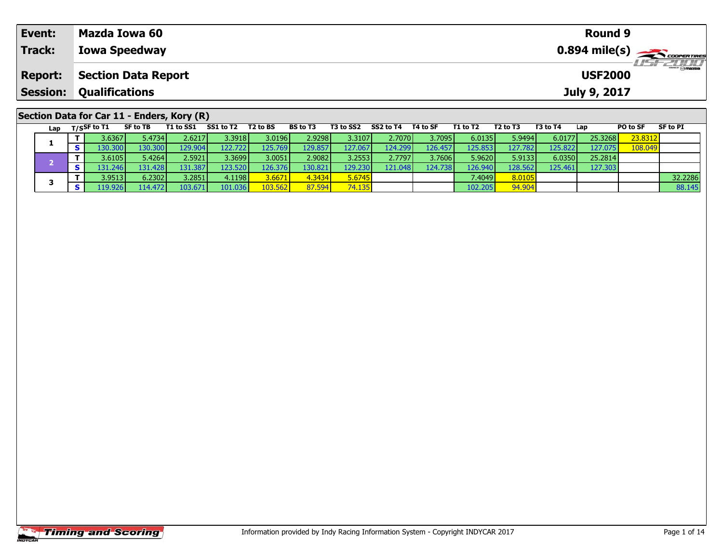| Event:          | Mazda Iowa 60                              | Round 9                                         |  |
|-----------------|--------------------------------------------|-------------------------------------------------|--|
| Track:          | <b>Iowa Speedway</b>                       |                                                 |  |
| <b>Report:</b>  | <b>Section Data Report</b>                 | $H = F = \prod_{\text{Smax}}$<br><b>USF2000</b> |  |
| <b>Session:</b> | <b>Qualifications</b>                      | July 9, 2017                                    |  |
|                 |                                            |                                                 |  |
|                 | Section Data for Car 11 - Enders, Kory (R) | -- - -<br>-- - -                                |  |

|  | Lap |        | T/SSF to T1     | SF to TB | T1 to SS1 | SS1 to T2 | T2 to BS | <b>BS to T3</b> | T3 to SS2       | SS2 to T4 | T4 to SF | T1 to T2        | T2 to T3 | T3 to T4 | Lap     | PO to SF | SF to PI |
|--|-----|--------|-----------------|----------|-----------|-----------|----------|-----------------|-----------------|-----------|----------|-----------------|----------|----------|---------|----------|----------|
|  |     |        | 3.6367 <b>I</b> | 5.4734 l | 2.62171   | 3.3918 l  | 3.0196   | 2.9298l         | 3.3107 <b>I</b> | 2.7070V   | 3.7095   | 6.0135          | 5.9494   | 6.0177   | 25.3268 | 23.8312  |          |
|  |     |        |                 | 130.300  | 129.904   | 122.7221  | 125.769  | 129.857         | 127.067         | 124.299   | 126.457  | 125.853         | 127.782  | 125.822  | 127.075 | 108.049  |          |
|  |     |        | 3.6105 <b>I</b> | 5.4264 l | 2.5921 l  | 3.3699 l  | 3.0051   | 2.9082          | 3.25531         | 2.7797    | 3.7606   | 5.9620          | 5.9133   | 6.0350   | 25.2814 |          |          |
|  |     |        | 131.2461        | 131.428  | 131.387   | 123.520   | 126.376  | 130.821         | 129.230         | 121.048   | 124.738  | 126.940         | 128.562  | 125.4611 | 127.303 |          |          |
|  |     |        | 3.9513 <b>1</b> | 6.2302   | 3.2851    | 4.1198    | 3.6671   | 4.3434          | 5.6745          |           |          | 7.4049 <b>l</b> | 8.0105   |          |         |          | 32.2286  |
|  |     | 19.926 | 114.472         | 103.671  | 101.036   | 03.562    | 87.594   | 74.135          |                 |           | 102.205  | 94.904          |          |          |         | 88.145   |          |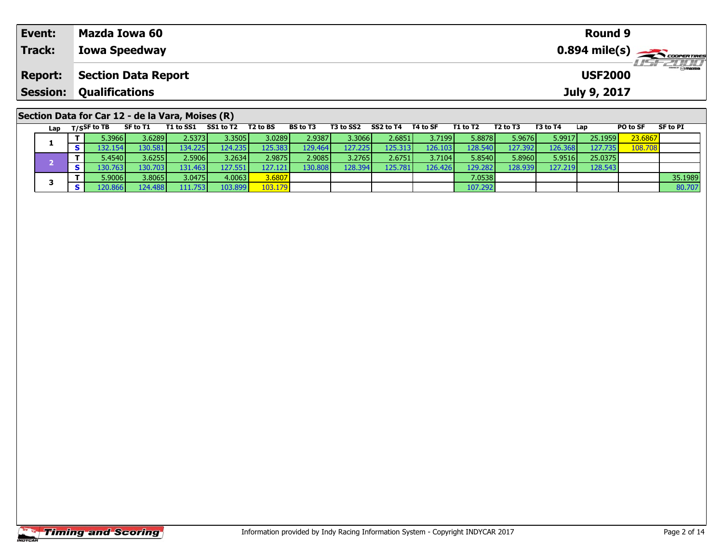| Event:          | Mazda Iowa 60                                    | Round 9                                 |
|-----------------|--------------------------------------------------|-----------------------------------------|
| Track:          | <b>Iowa Speedway</b>                             | $0.894$ mile(s) $\leftarrow$ coorgaring |
| <b>Report:</b>  | <b>Section Data Report</b>                       | <b>USF2000</b>                          |
| <b>Session:</b> | <b>Qualifications</b>                            | July 9, 2017                            |
|                 | Section Data for Car 12 - de la Vara, Moises (R) |                                         |
|                 |                                                  |                                         |

| Lap | T/SSF to TB     | SF to T1        | T1 to SS1 | SS1 to T2        | T2 to BS | <b>BS to T3</b> | T3 to SS2 | SS2 to T4       | T4 to SF        | T1 to T2 | T <sub>2</sub> to T <sub>3</sub> | T3 to T4 | Lap     | PO to SF | SF to PI |
|-----|-----------------|-----------------|-----------|------------------|----------|-----------------|-----------|-----------------|-----------------|----------|----------------------------------|----------|---------|----------|----------|
|     | i.3966 l        | 3.6289 <b>l</b> | 2.5373V   | 3.3505l          | 3.0289   | 2.9387 <b>I</b> | 3.3066 l  | 2.6851 l        | 3.7199 l        | 5.8878   | 5.9676                           | 5.9917   | 25.1959 | 23.6867  |          |
|     | I32.1541        | 130.581         | 134.225   | 124.235 <b>I</b> | 125.383  | 129.464         | 127.225   | 125.313         | 126.103         | 128.540  | 127.392                          | 126.368  | 127.735 | 108.708  |          |
|     | 5.4540 <b>l</b> | 3.6255 <b>1</b> | 2.5906V   | 3.2634           | 2.9875   | 2.9085          | 3.2765    | 2.6751 <b>l</b> | 3.7104 <b>l</b> | 5.8540   | 5.8960                           | 5.9516   | 25.0375 |          |          |
|     | .30.763         | 130.703         | 131.463   | 127.5511         | 127.121  | 130.808         | 128.394   | 125.781         | 126.426         | 129.282  | 128.939                          | 127.219  | 128.543 |          |          |
|     | 5.9006 l        | 3.8065          | 3.0475    | 4.0063           | 3.6807   |                 |           |                 |                 | 7.0538   |                                  |          |         |          | 35.1989  |
|     | 120.866         | 124.488         | 111.753   | 103.899          | 103.179  |                 |           |                 |                 | 107.292  |                                  |          |         |          | 80.707   |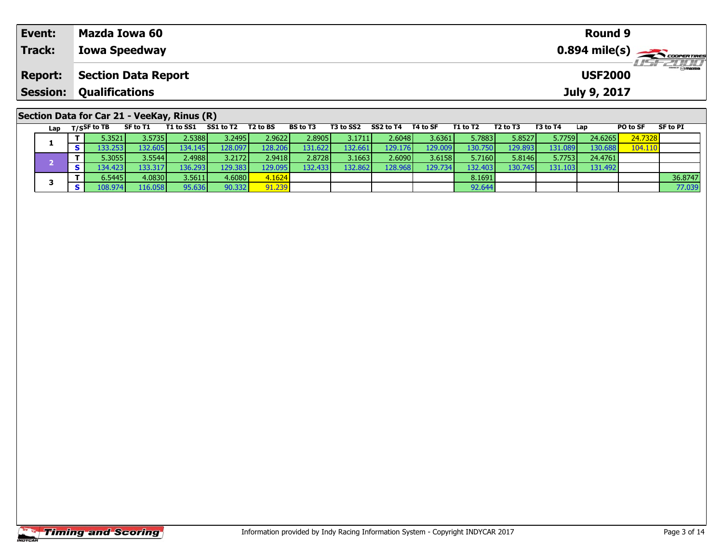| Event:         | Mazda Iowa 60                               | <b>Round 9</b>                            |  |
|----------------|---------------------------------------------|-------------------------------------------|--|
| Track:         | <b>Iowa Speedway</b>                        | $0.894$ mile(s) $\rightarrow$ COOPERTIRES |  |
| <b>Report:</b> | <b>Section Data Report</b>                  | LISE 2000<br><b>USF2000</b>               |  |
|                | <b>Session: Qualifications</b>              | July 9, 2017                              |  |
|                | Section Data for Car 21 - VeeKay, Rinus (R) |                                           |  |

|  | Lap     |         | $T/S$ SF to TB        | SF to T1 | T1 to SS1 | SS1 to T2       | T2 to BS | <b>BS to T3</b> | T3 to SS2 | SS2 to T4        | T4 to SF | T1 to T2 | T2 to T3 | T3 to T4 | Lap     | PO to SF | SF to PI |
|--|---------|---------|-----------------------|----------|-----------|-----------------|----------|-----------------|-----------|------------------|----------|----------|----------|----------|---------|----------|----------|
|  |         |         | 5.3521                | 3.5735   | 2.5388    | 3.2495          | 2.96221  | 2.8905          | 3.17111   | 2.6048           | 3.6361   | 5.7883   | 5.8527   | 5.7759   | 24.6265 | 24.7328  |          |
|  |         |         | $.33.253$ $^{\prime}$ | 132.605  | 134.1451  | 128.097         | 128.206  | 131.622         | 132.661   | 129.176 <b>I</b> | 129.009  | 130.750  | 129.8931 | 131.089  | 130.688 | 104.110  |          |
|  |         |         | 5.3055                | 3.5544   | 2.4988    | 3.2172          | 2.9418   | 2.8728          | 3.1663    | 2.6090           | 3.6158   | 5.7160   | 5.8146   | 5.7753   | 24.4761 |          |          |
|  |         |         | 134.423               | 133.317  | 36.293    | 129.383         | 129.095  | 132.433         | 132.862   | 128.968          | 129.7341 | 132.403  | 130.745  | 131.1031 | 131.492 |          |          |
|  |         |         | 6.5445 <b>I</b>       | 4.0830   | 3.5611    | 4.6080 <b>1</b> | 4.1624   |                 |           |                  |          | 8.1691   |          |          |         |          | 36.8747  |
|  | .08.974 | 116.058 | 95.636                | 90.332   | 91.239    |                 |          |                 |           | 92.644           |          |          |          |          | 77.039  |          |          |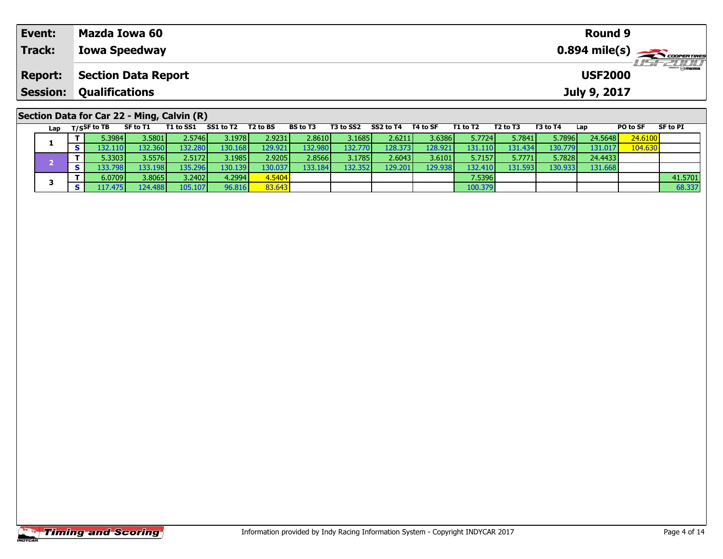| Event:         | Mazda Iowa 60                                                                                                                                                                                                                                                                                                                                                                                                                                                   |  |                 |                                                                                          |                 |                 |                 | <b>Round 9</b> |                 |                  |
|----------------|-----------------------------------------------------------------------------------------------------------------------------------------------------------------------------------------------------------------------------------------------------------------------------------------------------------------------------------------------------------------------------------------------------------------------------------------------------------------|--|-----------------|------------------------------------------------------------------------------------------|-----------------|-----------------|-----------------|----------------|-----------------|------------------|
| Track:         | <b>Iowa Speedway</b>                                                                                                                                                                                                                                                                                                                                                                                                                                            |  |                 |                                                                                          |                 |                 |                 |                |                 | <b>LISF 2000</b> |
| <b>Report:</b> | <b>Section Data Report</b>                                                                                                                                                                                                                                                                                                                                                                                                                                      |  |                 |                                                                                          |                 |                 |                 | <b>USF2000</b> |                 |                  |
| Session:       | <b>Qualifications</b>                                                                                                                                                                                                                                                                                                                                                                                                                                           |  |                 |                                                                                          |                 |                 |                 | July 9, 2017   |                 |                  |
|                | Section Data for Car 22 - Ming, Calvin (R)<br>$\mathsf{L}_{\mathsf{out}}$ $\mathsf{m}_{\mathsf{in}}$ $\mathsf{R}_{\mathsf{in}}$ $\mathsf{R}_{\mathsf{in}}$ $\mathsf{R}_{\mathsf{in}}$ $\mathsf{R}_{\mathsf{in}}$ $\mathsf{R}_{\mathsf{in}}$ $\mathsf{R}_{\mathsf{in}}$ $\mathsf{R}_{\mathsf{in}}$ $\mathsf{R}_{\mathsf{in}}$ $\mathsf{R}_{\mathsf{in}}$ $\mathsf{R}_{\mathsf{in}}$ $\mathsf{R}_{\mathsf{in}}$ $\mathsf{R}_{\mathsf{in}}$ $\mathsf{R}_{\mathsf{$ |  | <b>DC to T?</b> | T <sub>2</sub> to CC <sub>2</sub> CC <sub>2</sub> to T <sub>4</sub> T <sub>4</sub> to CE | <b>T1 to T2</b> | <b>F3 to T3</b> | <b>F2 to TA</b> | lan            | <b>DO to CE</b> | <b>CE to DT</b>  |

| Lap | T/SSF to TB      | SF to T1 | T1 to SS1 | SS1 to T2        | T <sub>2</sub> to BS | <b>BS to T3</b> | T3 to SS2 | SS2 to T4 | T4 to SF         | T1 to T2 | T2 to T3 | T3 to T4 | Lap     | PO to SF | SF to PI |
|-----|------------------|----------|-----------|------------------|----------------------|-----------------|-----------|-----------|------------------|----------|----------|----------|---------|----------|----------|
|     | 5.3984 l         | 3.5801   | 2.5746 l  | 3.1978 l         | 2.9231               | 2.8610          | 3.1685    | 2.6211    | 3.6386           | 5.7724   | 5.7841   | 5.7896   | 24.5648 | 24.6100  |          |
|     |                  | 132.360  | 132.280   | 130.168 <b>I</b> | 129.921              | 132.980         | 132.7701  | 128.3731  | 128.921          | 131.110  | 131.4341 | 130.7791 | 131.017 | 104.630  |          |
|     | 5.3303           | 3.5576   | 2.5172 l  | 3.1985           | 2.9205               | 2.8566          | 3.1785    | 2.6043    | 3.6101           | 5.7157   | 5.7771   | 5.7828   | 24.4433 |          |          |
|     | .33.798 <b>I</b> | 133.198  | 135.296   | 130.139          | 130.037              | 133.184         | 132.352   | 129.201   | .29.938 <b>I</b> | 132.410  | 131.5931 | 130.9331 | 131.668 |          |          |
|     | 6.0709 l         | 3.8065   | 3.2402    | 4.2994           | 4.5404               |                 |           |           |                  | 7.5396   |          |          |         |          | 41.5701  |
|     | I <b>7.475 I</b> | 124.4881 | 105.107   | 96.816           | 83.643               |                 |           |           |                  | 100.379  |          |          |         |          | 68.337   |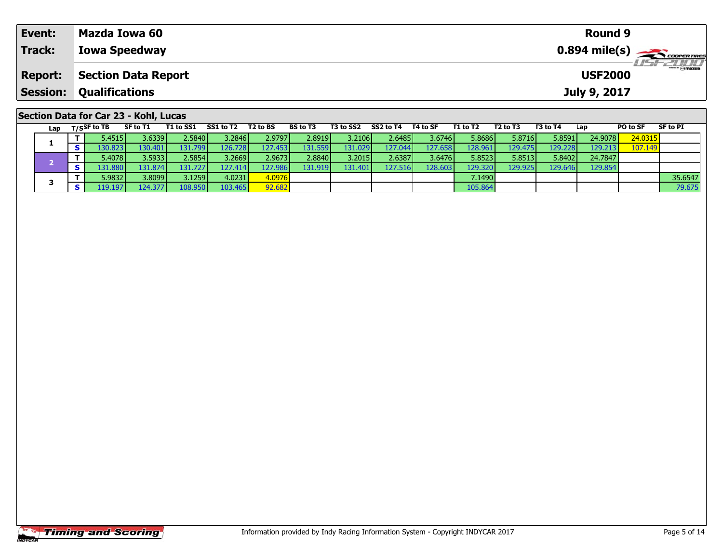| Event:          | Mazda Iowa 60                                                             |                      |                |                  |                  |                |                |                  | Round 9        |                 |                  |
|-----------------|---------------------------------------------------------------------------|----------------------|----------------|------------------|------------------|----------------|----------------|------------------|----------------|-----------------|------------------|
| Track:          | <b>Iowa Speedway</b>                                                      |                      |                |                  |                  |                |                |                  |                |                 |                  |
| <b>Report:</b>  | <b>Section Data Report</b>                                                |                      |                |                  |                  |                |                |                  | <b>USF2000</b> |                 | <b>LISFELINI</b> |
| <b>Session:</b> | <b>Qualifications</b>                                                     |                      |                |                  |                  |                |                |                  | July 9, 2017   |                 |                  |
|                 | Section Data for Car 23 - Kohl, Lucas<br><b>TALL COA</b><br><b>CEASTA</b> | $CCT = T1$ $T2 = T2$ | <b>DC 1-73</b> | <b>TO LA COO</b> | CORAL TA TALL OF | <b>TALL TO</b> | <b>FOLL TO</b> | <b>FO 4 - TA</b> | $\sim$ $\sim$  | <b>DO 1- CE</b> | OF LA DE         |

| Lap |         | T/SSF to TB     | SF to T1         | T1 to SS1        | SS1 to T2 | T <sub>2</sub> to BS | <b>BS to T3</b> | T3 to SS2       | SS2 to T4       | T4 to SF | T1 to T2        | T2 to T3 | T3 to T4 | Lap     | PO to SF | SF to PI |
|-----|---------|-----------------|------------------|------------------|-----------|----------------------|-----------------|-----------------|-----------------|----------|-----------------|----------|----------|---------|----------|----------|
|     |         | 5.45151         | 3.6339           | 2.5840           | 3.2846 l  | 2.9797               | 2.8919          | 3.2106 l        | 2.6485V         | 3.6746   | 5.8686          | 5.8716   | 5.8591   | 24.9078 | 24.0315  |          |
|     |         | .30.8231        | 130.401          | 131.799 <b>I</b> | 126.728   | 127.453              | 131.559         | 131.0291        | 127.044         | 127.658  | 128.961         | 129.4751 | 129.2281 | 129.213 | 107.149  |          |
|     |         | 5.4078 <b>1</b> | 3.59331          | 2.5854 l         | 3.2669 l  | 2.9673               | 2.8840          | 3.2015 <b>I</b> | 2.6387 <b>I</b> | 3.6476   | 5.8523          | 5.8513   | 5.8402   | 24.7847 |          |          |
|     |         | .31.8801/       | 131.874 <b>I</b> | 131.727          | 127.4141  | 127.986              | 131.919         | 131.401         | 127.516         | 128.603  | 129.320         | 129.925  | 129.6461 | 129.854 |          |          |
|     |         | 5.98321         | 3.8099           | 3.1259           | 4.0231    | 4.0976               |                 |                 |                 |          | 7.1490 <b>I</b> |          |          |         |          | 35.6547  |
|     | .19.197 | 124.377         | 108.950          | 103.465          | 92.682    |                      |                 |                 |                 | 105.864  |                 |          |          |         | 79.675   |          |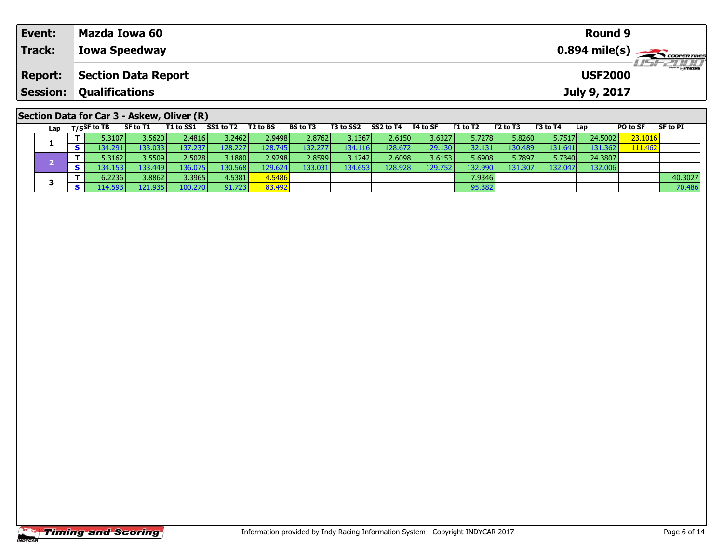| Event:          | Mazda Iowa 60                              |                                                                 |                     |          |          |  |                     |          |          |          |          | <b>Round 9</b> |                 |                                           |  |  |
|-----------------|--------------------------------------------|-----------------------------------------------------------------|---------------------|----------|----------|--|---------------------|----------|----------|----------|----------|----------------|-----------------|-------------------------------------------|--|--|
| Track:          | <b>Iowa Speedway</b>                       |                                                                 |                     |          |          |  |                     |          |          |          |          |                |                 | $0.894$ mile(s) $\rightarrow$ coorganizes |  |  |
| <b>Report:</b>  |                                            | <b>USF 2000</b><br><b>USF2000</b><br><b>Section Data Report</b> |                     |          |          |  |                     |          |          |          |          |                |                 |                                           |  |  |
| <b>Session:</b> | <b>Qualifications</b>                      |                                                                 |                     |          |          |  |                     |          |          |          |          | July 9, 2017   |                 |                                           |  |  |
|                 | Section Data for Car 3 - Askew, Oliver (R) |                                                                 |                     |          |          |  |                     |          |          |          |          |                |                 |                                           |  |  |
|                 | Lap $T/S$ SF to TB                         | SF to T1                                                        | T1 to SS1 SS1 to T2 | T2 to BS | BS to T3 |  | T3 to SS2 SS2 to T4 | T4 to SF | T1 to T2 | T2 to T3 | T3 to T4 | Lap            | <b>PO to SF</b> | <b>SF to PI</b>                           |  |  |

| Lap |                 | .         |         |         |         | -----   |          | ------          | .       | .       | .       | .       | ---     | .       | .       |
|-----|-----------------|-----------|---------|---------|---------|---------|----------|-----------------|---------|---------|---------|---------|---------|---------|---------|
|     | 5.3107 <b>1</b> | 3.5620    | 2.4816  | 3.2462  | 2.9498  | 2.8762  | 3.13671  | 2.6150 l        | 3.6327  | 5.7278  | 5.8260  | 5.7517  | 24.5002 | 23.1016 |         |
|     | 134.291         | 133.033   | 137.237 | 128.227 | 128.745 | 132.277 | 134.116  | 128.672         | 129.130 | 132.131 | 130.489 | 131.641 | 131.362 | 111.462 |         |
|     | 5.3162 <b>l</b> | 3.5509    | 2.5028l | 3.1880  | 2.9298  | 2.8599  | 3.1242 l | 2.6098 <b>l</b> | 3.6153  | 5.6908  | 5.7897  | 5.7340  | 24.3807 |         |         |
|     | .34.153         | 133.449 I | 136.075 | 130.568 | 129.624 | 133.031 | 134.653  | 128.928         | 129.752 | 132.990 | 131.307 | 132.047 | 132.006 |         |         |
|     | 6.2236          | 3.8862    | 3.3965  | 4.5381  | 4.5486  |         |          |                 |         | 7.9346  |         |         |         |         | 40.3027 |
|     | 14.593          | 121.935   | 100.270 | 91.723  | 33.492  |         |          |                 |         | 95.382  |         |         |         |         | 70.486  |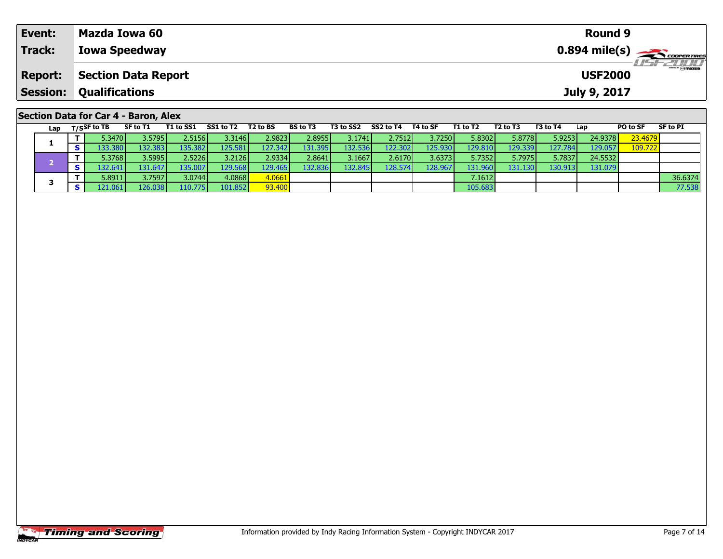| Event:          | Mazda Iowa 60                        | Round 9        |           |
|-----------------|--------------------------------------|----------------|-----------|
| Track:          | <b>Iowa Speedway</b>                 |                |           |
| <b>Report:</b>  | <b>Section Data Report</b>           | <b>USF2000</b> | LISE CLIP |
| <b>Session:</b> | <b>Qualifications</b>                | July 9, 2017   |           |
|                 | Section Data for Car 4 - Baron, Alex |                |           |
|                 |                                      | -- - --        |           |

| Lap | T/SSF to TB              | SF to T1         | T1 to SS1 | SS1 to T2 | T <sub>2</sub> to BS | <b>BS to T3</b> | T3 to SS2 | SS2 to T4 | T4 to SF | T1 to T2 | T2 to T3 | T3 to T4 | Lap     | PO to SF | SF to PI |
|-----|--------------------------|------------------|-----------|-----------|----------------------|-----------------|-----------|-----------|----------|----------|----------|----------|---------|----------|----------|
|     | 5.3470 <b>l</b>          | 3.5795 <b> </b>  | 2.5156 l  | 3.3146 l  | 2.9823               | 2.8955          | 3.1741    | 2.7512    | 3.7250   | 5.8302   | 5.8778   | 5.9253   | 24.9378 | 23.4679  |          |
|     | $.33.380$ $\blacksquare$ | 132.383 <b>I</b> | 135.382   | 125.5811  | 127.342              | 131.395         | 132.536   | 122.302   | 125.930  | 129.810  | 129.339  | 127.7841 | 129.057 | 109.722  |          |
|     | 5.3768                   | 3.5995           | 2.5226 l  | 3.2126 l  | 2.9334               | 2.8641          | 3.16671   | 2.6170 l  | 3.6373   | 5.7352   | 5.7975   | 5.7837   | 24.5532 |          |          |
|     | .32.641                  | 131.6471         | 135.007   | 129.568   | 129.465              | 132.836         | 132.845   | 128.574   | 128.967  | 131.960  | 131.130  | 130.913  | 131.079 |          |          |
|     | 5.8911                   | 3.7597           | 3.0744 l  | 4.0868    | 4.0661               |                 |           |           |          | 7.1612   |          |          |         |          | 36.6374  |
|     | 121.061                  | 126.038          | 110.7751  | 101.852   | 93.400               |                 |           |           |          | 105.683  |          |          |         |          | 77.538   |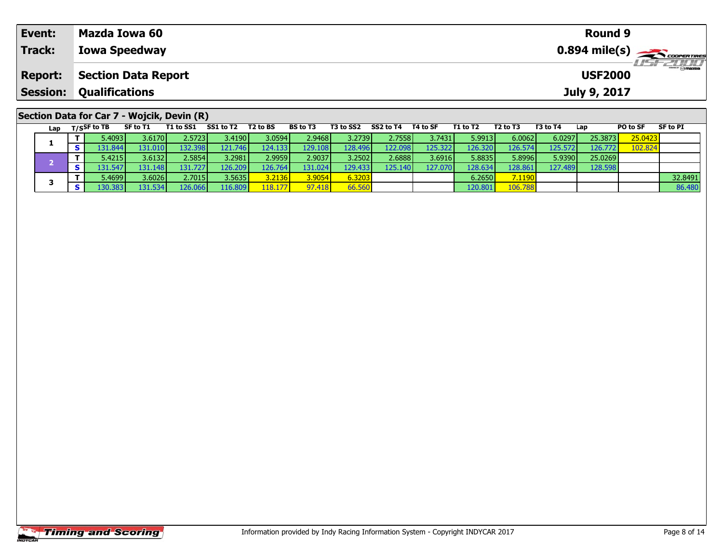| Event:          | Mazda Iowa 60                              | Round 9                     |
|-----------------|--------------------------------------------|-----------------------------|
| Track:          | <b>Iowa Speedway</b>                       |                             |
| <b>Report:</b>  | <b>Section Data Report</b>                 | LISF 2000<br><b>USF2000</b> |
| <b>Session:</b> | <b>Qualifications</b>                      | July 9, 2017                |
|                 |                                            |                             |
|                 | Section Data for Car 7 - Wojcik, Devin (R) | -- - -<br>-- - -            |

| Lap |            | T/SSF to TB               | SF to T1 | T1 to SS1       | SS1 to T2 | T2 to BS        | <b>BS</b> to T3 | T3 to SS2 | SS2 to T4        | T4 to SF | T1 to T2 | T2 to T3 | T3 to T4 | Lap     | PO to SF | SF to PI |
|-----|------------|---------------------------|----------|-----------------|-----------|-----------------|-----------------|-----------|------------------|----------|----------|----------|----------|---------|----------|----------|
|     |            | 5.4093 I                  | 3.6170 l | 2.57231         | 3.4190V   | 3.0594          | 2.9468 l        | 3.2739    | 2.7558 l         | 3.7431   | 5.9913   | 6.0062   | 6.0297   | 25.3873 | 25.0423  |          |
|     |            | 131.844 <b>1</b>          | 131.010  | 132.398         | 121.746   | 124.133         | 129.108         | 128.496   | 122.098          | 125.322  | 126.320  | 126.574  | 125.5721 | 126.772 | 102.824  |          |
|     |            | 5.4215 l                  | 3.6132   | 2.5854 <b>l</b> | 3.2981    | 2.9959          | 2.9037          | 3.2502    | 2.6888           | 3.6916   | 5.8835   | 5.8996   | 5.9390   | 25.0269 |          |          |
|     |            | $.31.547$ $\triangledown$ | 131.148  | 131.7271        | 126.209   | 126.764         | 131.024         | 129.433   | 125.140 <b>I</b> | 127.070  | 128.634  | 28.861   | 127.4891 | 128.598 |          |          |
|     |            | 5.4699 I                  | 3.6026   | 2.7015          | 3.5635    | 3.2136 <b>1</b> | 3.9054          | 6.3203    |                  |          | 6.2650   | 7.1190   |          |         |          | 32.8491  |
|     | $\epsilon$ | .30.383                   | 131.534  | 126.066         | 116.809   | 118.177         | 97.418          | 66.560    |                  |          | 120.80   | 106.788  |          |         |          | 86.480   |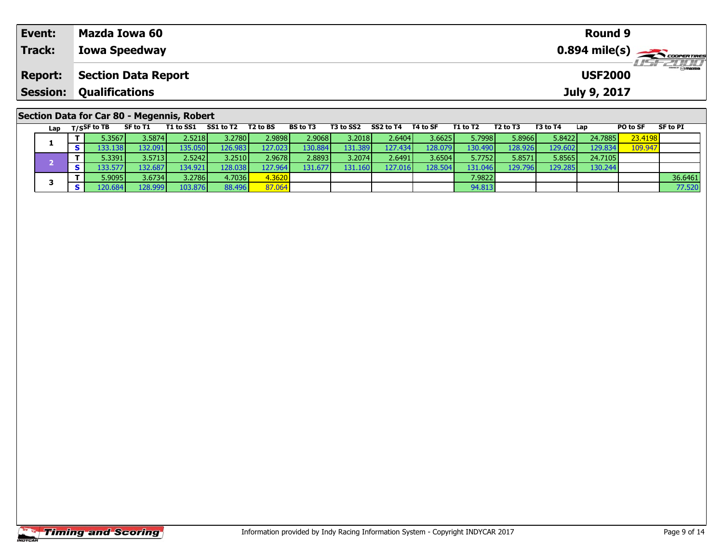| Event:          | Mazda Iowa 60                              | <b>Round 9</b>                             |
|-----------------|--------------------------------------------|--------------------------------------------|
| Track:          | <b>Iowa Speedway</b>                       | $0.894$ mile(s) $\rightarrow$ COOPER TIRES |
| <b>Report:</b>  | <b>Section Data Report</b>                 | <b>LISE CLIP</b><br><b>USF2000</b>         |
| <b>Session:</b> | <b>Qualifications</b>                      | July 9, 2017                               |
|                 | Section Data for Car 80 - Megennis, Robert |                                            |

|  | Lap | $T/S$ SF to TB                        | SF to T1        | T1 to SS1 | SS1 to T2 | T <sub>2</sub> to BS | <b>BS to T3</b> | T3 to SS2 | SS2 to T4 | T4 to SF | T1 to T2 | T2 to T3 | T3 to T4 | Lap     | <b>PO to SF</b> | <b>SF to PI</b> |
|--|-----|---------------------------------------|-----------------|-----------|-----------|----------------------|-----------------|-----------|-----------|----------|----------|----------|----------|---------|-----------------|-----------------|
|  |     | 5.3567                                | 3.5874 <b>I</b> | 2.5218    | 3.2780    | 2.9898               | 2.9068          | 3.2018    | 2.6404    | 3.6625   | 5.7998   | 5.8966   | 5.8422   | 24.7885 | 23.4198         |                 |
|  |     | .33.138 I                             | 132.091         | L35.050   | 126.983   | 127.0231             | 130.884         | 131.389   | 127.434   | L28.079  | 130.490  | 128.9261 | 129.602  | 129.834 | 109.947         |                 |
|  |     | 5.3391                                | 3.5713          | 2.5242    | 3.2510    | 2.9678               | 2.8893          | 3.2074    | 2.6491    | 3.6504   | 5.7752   | 5.8571   | 5.8565'  | 24.7105 |                 |                 |
|  |     | .33.577                               | 132.687         | 134.921   | 128.038   | 127.964 l            | 131.677         | 131.1601  | 127.016   | 128.504  | 131.046  | 129.796  | 129.285  | 130.244 |                 |                 |
|  |     | 5.9095                                | 3.6734          | 3.2786    | 4.7036    | 4.3620               |                 |           |           |          | 7.9822   |          |          |         |                 | 36.6461         |
|  |     | $\textcolor{red}{\textbf{120.684}}\%$ | 128.999         | 103.876   | 88.496    | 87.064               |                 |           |           |          | 94.813   |          |          |         |                 | 77.520          |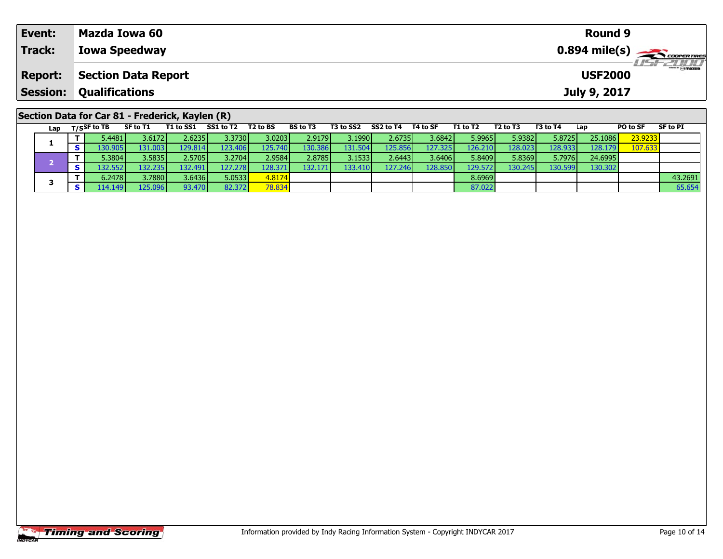| Event:          | Mazda Iowa 60                                                                                                |                                 |                  |  |                |                  |                                                 | <b>Round 9</b> |                                                             |
|-----------------|--------------------------------------------------------------------------------------------------------------|---------------------------------|------------------|--|----------------|------------------|-------------------------------------------------|----------------|-------------------------------------------------------------|
| Track:          | <b>Iowa Speedway</b>                                                                                         |                                 |                  |  |                |                  |                                                 |                | $0.894$ mile(s) $\leftarrow$ coorgannes<br><b>LISF 2010</b> |
| <b>Report:</b>  | Section Data Report                                                                                          |                                 |                  |  |                |                  |                                                 | <b>USF2000</b> |                                                             |
| <b>Session:</b> | <b>Qualifications</b>                                                                                        |                                 |                  |  |                |                  | July 9, 2017                                    |                |                                                             |
|                 | Section Data for Car 81 - Frederick, Kaylen (R)<br>$\mathbf{r}$ . $\mathbf{r}$ . $\mathbf{r}$ . $\mathbf{r}$ | <b>TAL-BA</b><br><b>BOLL TO</b> | <b>TO 1.400.</b> |  | <b>TALL TO</b> | <b>FR.L. TR.</b> | <b>FOL. TA</b><br>$\mathbf{1}$ and $\mathbf{1}$ | <b>BOLL OF</b> | OF ALL DR.                                                  |

| Lap | T/SSF to TB             | SF to T1 | T1 to SS1 | SS1 to T2        | T <sub>2</sub> to BS | <b>BS to T3</b> | T3 to SS2 | SS2 to T4 | T4 to SF | T1 to T2 | T2 to T3 | T3 to T4 | Lap     | PO to SF | SF to PI |
|-----|-------------------------|----------|-----------|------------------|----------------------|-----------------|-----------|-----------|----------|----------|----------|----------|---------|----------|----------|
|     | ا 4481.                 | 3.6172   | 2.6235V   | 3.3730 <b>1</b>  | 3.0203               | 2.9179          | 3.1990 l  | 2.67351   | 3.6842   | 5.9965   | 5.9382   | 5.8725   | 25.1086 | 23.9233  |          |
|     | .30.905 l               | 131.0031 | 129.814   | 123.406 <b>1</b> | 125.7401             | 130.386         | 131.504   | 125.856   | 127.325  | 126.210  | 128.023  | 128.933  | 128.179 | 107.633  |          |
|     | 5.3804 <b>l</b>         | 3.5835   | 2.5705V   | 3.2704 <b>1</b>  | 2.9584               | 2.8785          | 3.1533    | 2.6443    | 3.6406   | 5.8409   | 5.8369   | 5.7976   | 24.6995 |          |          |
|     | .32.5521                | 132.2351 | 132.491   | 127.2781         | 128.371              | 132.171         | 133.410   | 127.246   | 128.850  | 129.572  | 130.245  | 130.599  | 130.302 |          |          |
|     | $5.2478$ $\blacksquare$ | 3.7880   | 3.64361   | 5.0533           | 4.8174               |                 |           |           |          | 8.6969   |          |          |         |          | 43.2691  |
|     | 114.1491                | 125.096  | 93.470    | 82.372           | 78.834               |                 |           |           |          | 87.022   |          |          |         |          | 65.654   |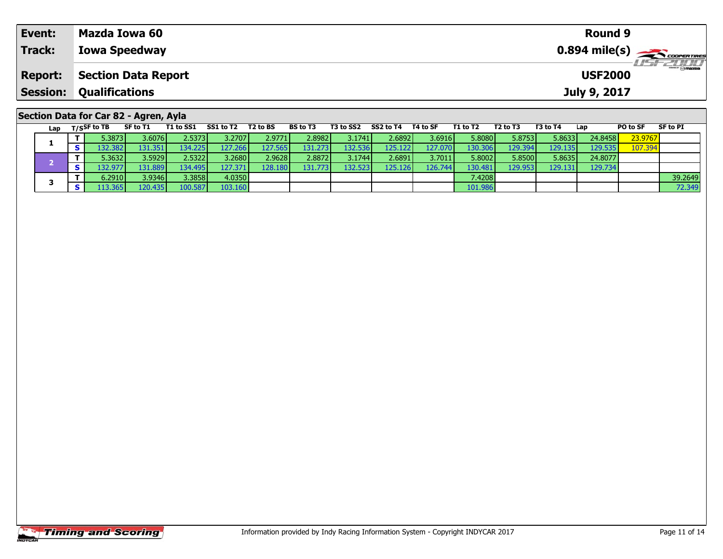| Event:          | Mazda Iowa 60                                                                                                                                            |                                  |             |                   |  |                |                |                                                                             | Round 9        |                                                       |
|-----------------|----------------------------------------------------------------------------------------------------------------------------------------------------------|----------------------------------|-------------|-------------------|--|----------------|----------------|-----------------------------------------------------------------------------|----------------|-------------------------------------------------------|
| Track:          | <b>Iowa Speedway</b>                                                                                                                                     |                                  |             |                   |  |                |                |                                                                             |                | $0.894$ mile(s) $\overbrace{\hspace{2cm}}$ coorganges |
| <b>Report:</b>  | <b>Section Data Report</b>                                                                                                                               |                                  |             |                   |  |                |                |                                                                             | <b>USF2000</b> | LISF 2000                                             |
| <b>Session:</b> | <b>Qualifications</b>                                                                                                                                    |                                  |             |                   |  |                |                |                                                                             | July 9, 2017   |                                                       |
|                 | Section Data for Car 82 - Agren, Ayla<br>the contract of the contract of the contract of the contract of the contract of the contract of the contract of | <b>COLL. TO</b><br><b>TAL-BA</b> | <b>BOLL</b> | <b>TALL CORP.</b> |  | <b>TALL TO</b> | <b>FOL. TO</b> | $\mathbf{r}$ , $\mathbf{r}$ , $\mathbf{r}$ , $\mathbf{r}$<br>$\blacksquare$ | <b>BOLL OF</b> | <b>CEA-BE</b>                                         |

| Lap | T/SSF to TB     | SF to T1 | T1 to SS1 SS1 to T2 |                 | T2 to BS | <b>BS to T3</b> | T3 to SS2 | SS2 to T4 | T4 to SF | T1 to T2        | T2 to T3 | T3 to T4 | Lap     | PO to SF | SF to PI |
|-----|-----------------|----------|---------------------|-----------------|----------|-----------------|-----------|-----------|----------|-----------------|----------|----------|---------|----------|----------|
|     | 5.3873 l        | 3.6076 l | 2.5373 l            | 3.2707 <b>1</b> | 2.97711  | 2.8982          | 3.1741    | 2.6892 l  | 3.6916   | 5.8080          | 5.8753   | 5.8633   | 24.8458 | 23.9767  |          |
|     | .32.382V        | 131.351  | 134.225             | 127.2661        | 127.565  | 131.273         | 132.536   | 125.122   | 127.070  | 130.306         | 129.394  | 129.1351 | 129.535 | 107.394  |          |
|     | 5.3632 l        | 3.5929   | 2.53221             | 3.2680          | 2.9628   | 2.8872          | 3.1744 l  | 2.6891    | 3.7011   | 5.8002          | 5.8500   | 5.8635   | 24.8077 |          |          |
|     | .32.9771        | 131.889  | 134.495 <b>I</b>    | 127.3711        | 128.180  | 131.773         | 132.523   | 125.126   | 126.744  | 130.481         | 129.953  | 129.131  | 129.734 |          |          |
|     | 6.2910 <b> </b> | 3.9346   | 3.3858              | 4.0350          |          |                 |           |           |          | 7.4208 <b>I</b> |          |          |         |          | 39.2649  |
|     | .13.365         | 120.435  | 100.587             | 103.160         |          |                 |           |           |          | 101.986         |          |          |         |          | 72.349   |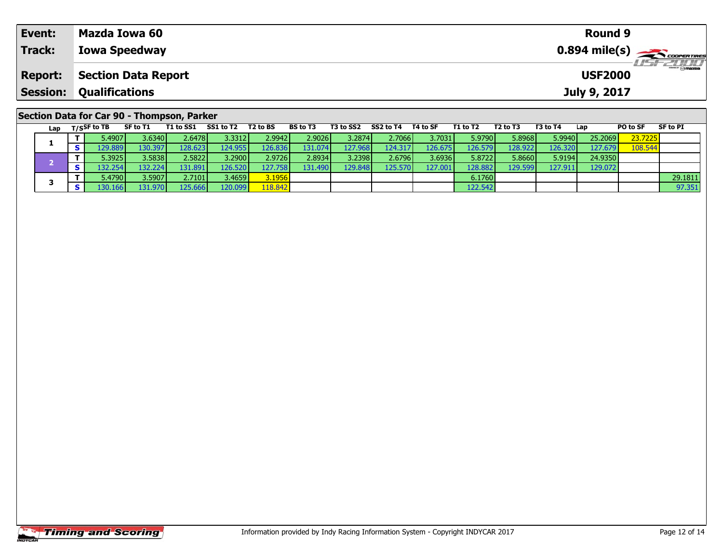| Event:          | Mazda Iowa 60                              | Round 9                            |
|-----------------|--------------------------------------------|------------------------------------|
| Track:          | <b>Iowa Speedway</b>                       |                                    |
| <b>Report:</b>  | <b>Section Data Report</b>                 | <b>LIST 2000</b><br><b>USF2000</b> |
| <b>Session:</b> | <b>Qualifications</b>                      | July 9, 2017                       |
|                 | Section Data for Car 90 - Thompson, Parker |                                    |

| Lap | $T/S$ SF to TB       | SF to T1        | T1 to SS1 | SS1 to T2 | T2 to BS  | <b>BS to T3</b> | T3 to SS2 | SS2 to T4 | T4 to SF  | T1 to T2 | T2 to T3 | T3 to T4 | Lap     | PO to SF | SF to PI |
|-----|----------------------|-----------------|-----------|-----------|-----------|-----------------|-----------|-----------|-----------|----------|----------|----------|---------|----------|----------|
|     | 5.4907               | 3.6340 <b>I</b> | 2.6478    | 3.33121   | 2.99421   | 2.9026          | 3.2874    | 2.7066    | 3.7031    | 5.9790   | 5.8968   | 5.9940   | 25.2069 | 23.7225  |          |
|     | 129.889 <sup>1</sup> | 130.397         | 28.623    | 124.9551  | 26.836    | 131.0741        | 127.9681  | 124.317   | L26.675 I | 126.579  | 128.9221 | 126.320  | 127.679 | 108.544  |          |
|     | 5.3925               | 3.5838          | 2.5822    | 3.2900    | 2.9726    | 2.8934          | 3.2398    | 2.6796    | 3.6936    | 5.8722   | 5.8660   | 5.9194   | 24.9350 |          |          |
|     | .32.254              | 132.2241        | 131.891   | 126.520   | L27.758 I | 131.4901        | 129.848   | 125.570   | 127.001   | 128.882  | 129.599  | 127.911  | 129.072 |          |          |
|     | 5.4790               | 3.5907          | 2.7101    | 3.4659    | 3.1956    |                 |           |           |           | 6.1760   |          |          |         |          | 29.1811  |
|     | .30.166              | 131.970         | 125.666   | 120.099   | 18.842    |                 |           |           |           | 122.542  |          |          |         |          | 97.351   |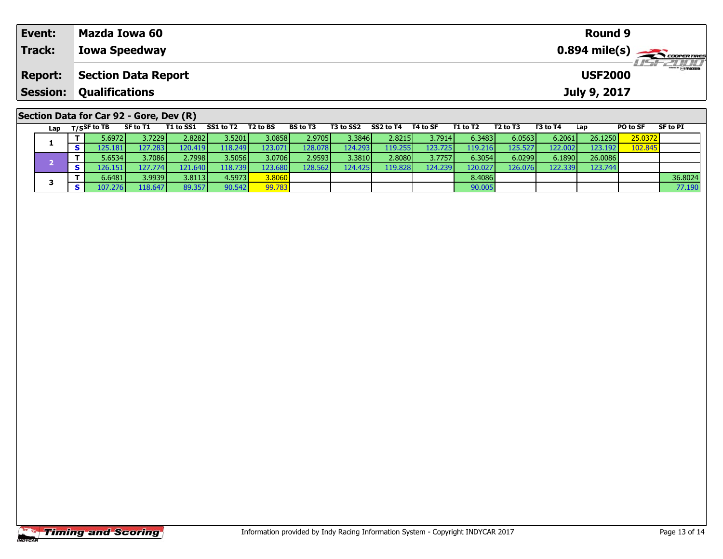| Event:          | Mazda Iowa 60                           |                     |          |          |                              |          |          |          | <b>Round 9</b> |                 |                                          |
|-----------------|-----------------------------------------|---------------------|----------|----------|------------------------------|----------|----------|----------|----------------|-----------------|------------------------------------------|
| Track:          | <b>Iowa Speedway</b>                    |                     |          |          |                              |          |          |          |                |                 | $0.894$ mile(s) $\rightarrow$ coorganges |
| <b>Report:</b>  | <b>Section Data Report</b>              |                     |          |          |                              |          |          |          | <b>USF2000</b> |                 | <b>USF 2000</b>                          |
| <b>Session:</b> | <b>Qualifications</b>                   |                     |          |          |                              |          |          |          | July 9, 2017   |                 |                                          |
|                 | Section Data for Car 92 - Gore, Dev (R) |                     |          |          |                              |          |          |          |                |                 |                                          |
|                 | Lap $T/S$ SF to TB<br>SF to T1          | T1 to SS1 SS1 to T2 | T2 to BS | BS to T3 | T3 to SS2 SS2 to T4 T4 to SF | T1 to T2 | T2 to T3 | T3 to T4 | Lap            | <b>PO to SF</b> | SF to PI                                 |

1 | T | 5.6972| 3.7229| 2.8282| 3.5201| 3.0858| 2.9705| 3.3846| 2.8215| 3.7914| 6.3483| 6.0563| 6.2061| 26.1250| 25.0372<br>1 | S | 125.181| 127.283| 120.419| 118.249| 123.071| 128.078| 124.293| 119.255| 123.725| 119.216| 125

**T** 6.6481 3.9939 3.8113 4.5973 3.8060 8.4086 8.4086 3.4086 3.66024 3.66024<br>T S 107.276 118.647 89.357 90.542 99.783 90.783 90.005 90.005 90.005 90.005 90.005 90.005 90.005 90.005 90.005

**<sup>T</sup>** 5.6534 3.7086 2.7998 3.5056 3.0706 2.9593 3.3810 2.8080 3.7757 6.3054 6.0299 6.1890 26.0086 **<sup>S</sup>** 126.151 127.774 121.640 118.739 123.680 128.562 124.425 119.828 124.239 120.027 126.076 122.339 123.744

|                       | <b>Timing and Scoring</b> |  |  |
|-----------------------|---------------------------|--|--|
| <i><b>INDYCAR</b></i> |                           |  |  |

**1**

**3**

123.744